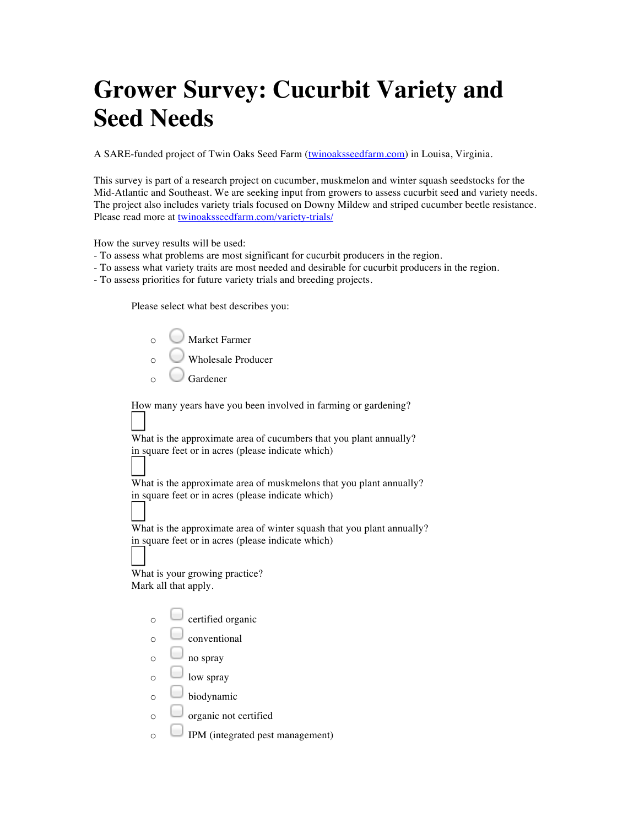## **Grower Survey: Cucurbit Variety and Seed Needs**

A SARE-funded project of Twin Oaks Seed Farm (twinoaksseedfarm.com) in Louisa, Virginia.

This survey is part of a research project on cucumber, muskmelon and winter squash seedstocks for the Mid-Atlantic and Southeast. We are seeking input from growers to assess cucurbit seed and variety needs. The project also includes variety trials focused on Downy Mildew and striped cucumber beetle resistance. Please read more at twinoaksseedfarm.com/variety-trials/

How the survey results will be used:

- To assess what problems are most significant for cucurbit producers in the region.
- To assess what variety traits are most needed and desirable for cucurbit producers in the region.
- To assess priorities for future variety trials and breeding projects.

Please select what best describes you:

| ∩ | Market Farmer      |
|---|--------------------|
| ∩ | Wholesale Producer |
|   | Gardener           |

How many years have you been involved in farming or gardening?

What is the approximate area of cucumbers that you plant annually? in square feet or in acres (please indicate which)

What is the approximate area of muskmelons that you plant annually? in square feet or in acres (please indicate which)

What is the approximate area of winter squash that you plant annually? in square feet or in acres (please indicate which)

What is your growing practice? Mark all that apply.

| certified organic |
|-------------------|
|-------------------|

- $\circ$   $\Box$  conventional
- $\circ$   $\Box$  no spray
- $\circ$   $\Box$  low spray
- $\circ$  biodynamic
- $\circ$   $\Box$  organic not certified
- $\circ$  IPM (integrated pest management)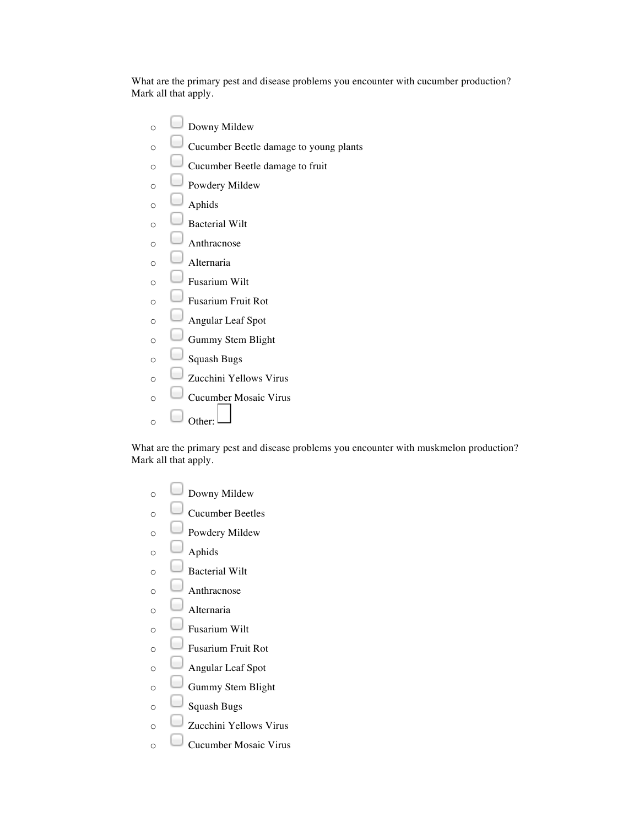What are the primary pest and disease problems you encounter with cucumber production? Mark all that apply.

 $\circ$   $\Box$  Downy Mildew o Cucumber Beetle damage to young plants  $\circ$   $\Box$  Cucumber Beetle damage to fruit  $\circ$   $\Box$  Powdery Mildew  $\circ$   $\Box$  Aphids  $\circ$   $\Box$  Bacterial Wilt  $\circ$   $\Box$  Anthracnose  $\circ$   $\Box$  Alternaria  $\circ$   $\Box$  Fusarium Wilt  $\circ$   $\Box$  Fusarium Fruit Rot  $\circ$   $\Box$  Angular Leaf Spot  $\circ$   $\Box$  Gummy Stem Blight  $\circ$   $\Box$  Squash Bugs o Zucchini Yellows Virus o Cucumber Mosaic Virus  $\circ$   $\Box$  Other:

What are the primary pest and disease problems you encounter with muskmelon production? Mark all that apply.

| O        | Downy Mildew              |
|----------|---------------------------|
| $\circ$  | <b>Cucumber Beetles</b>   |
| $\circ$  | Powdery Mildew            |
| $\Omega$ | Aphids                    |
| $\Omega$ | <b>Bacterial Wilt</b>     |
| $\Omega$ | Anthracnose               |
| $\Omega$ | Alternaria                |
| $\Omega$ | <b>Fusarium Wilt</b>      |
| $\circ$  | <b>Fusarium Fruit Rot</b> |
| $\Omega$ | Angular Leaf Spot         |
| $\Omega$ | Gummy Stem Blight         |
| $\Omega$ | Squash Bugs               |
| $\Omega$ | Zucchini Yellows Virus    |
| Ó        | Cucumber Mosaic Virus     |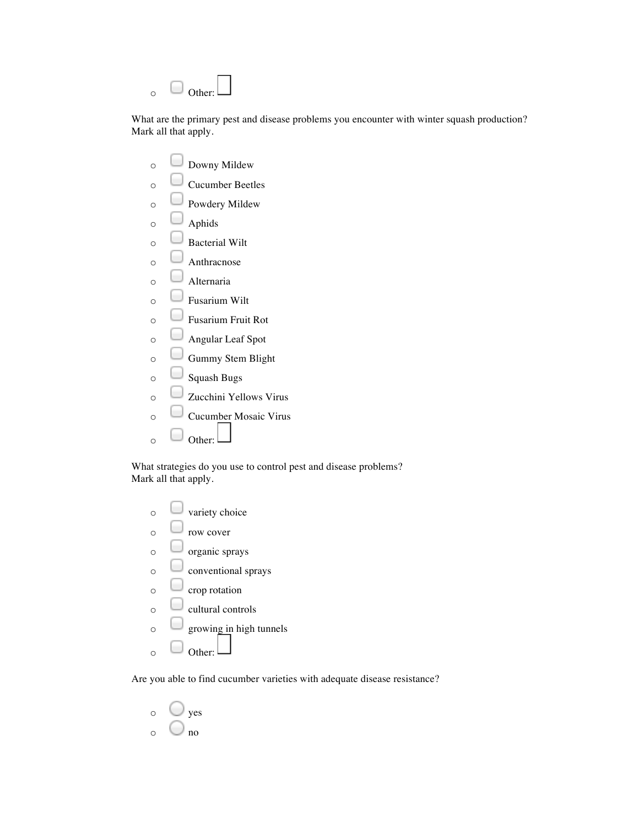| ∩ | Other: $L$ |  |
|---|------------|--|

What are the primary pest and disease problems you encounter with winter squash production? Mark all that apply.

| O        | Downy Mildew              |
|----------|---------------------------|
| O        | <b>Cucumber Beetles</b>   |
| $\circ$  | Powdery Mildew            |
| $\circ$  | Aphids                    |
| $\circ$  | <b>Bacterial Wilt</b>     |
| $\circ$  | Anthracnose               |
| $\circ$  | Alternaria                |
| $\circ$  | <b>Fusarium Wilt</b>      |
| $\circ$  | <b>Fusarium Fruit Rot</b> |
| $\circ$  | Angular Leaf Spot         |
| $\circ$  | Gummy Stem Blight         |
| $\circ$  | <b>Squash Bugs</b>        |
| $\circ$  | Zucchini Yellows Virus    |
| $\circ$  | Cucumber Mosaic Virus     |
| $\Omega$ | Other:                    |

What strategies do you use to control pest and disease problems? Mark all that apply.

|   | variety choice          |
|---|-------------------------|
| ∩ | row cover               |
| റ | organic sprays          |
| ∩ | conventional sprays     |
|   | crop rotation           |
| ∩ | cultural controls       |
|   | growing in high tunnels |
|   |                         |

Are you able to find cucumber varieties with adequate disease resistance?

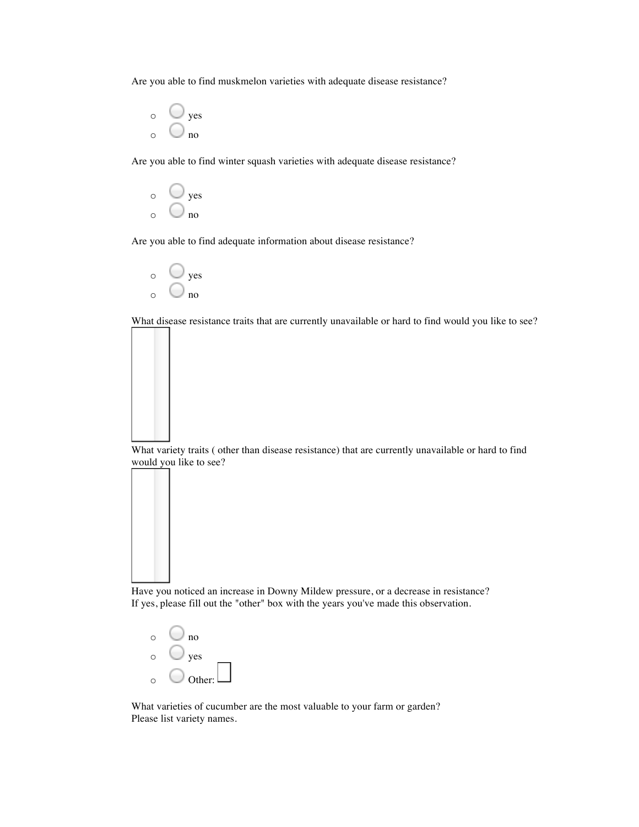Are you able to find muskmelon varieties with adequate disease resistance?

 $\circ$   $\circ$  yes  $\circ$  0 no

Are you able to find winter squash varieties with adequate disease resistance?



Are you able to find adequate information about disease resistance?



What disease resistance traits that are currently unavailable or hard to find would you like to see?

What variety traits ( other than disease resistance) that are currently unavailable or hard to find would you like to see?

Have you noticed an increase in Downy Mildew pressure, or a decrease in resistance? If yes, please fill out the "other" box with the years you've made this observation.

 $\circ$  0 no o yes o Other:

What varieties of cucumber are the most valuable to your farm or garden? Please list variety names.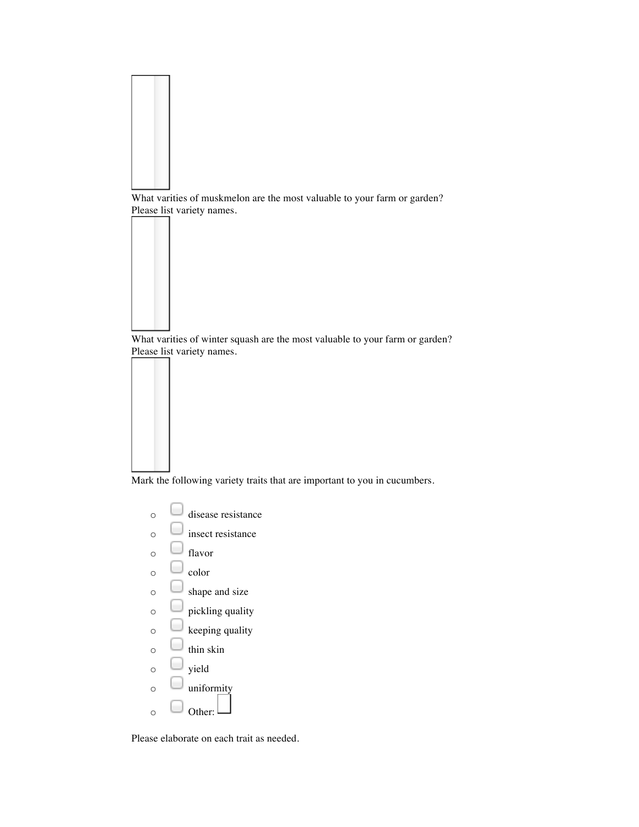

What varities of winter squash are the most valuable to your farm or garden? Please list variety names.

Mark the following variety traits that are important to you in cucumbers.

- $\circ$  disease resistance
- $\circ$   $\Box$  insect resistance
- $\circ$   $\Box$  flavor
- $\circ$   $\Box$  color
- $\circ$   $\Box$  shape and size
- $\circ$   $\Box$  pickling quality
- $\circ$   $\Box$  keeping quality
- $\circ$   $\Box$  thin skin
- $\circ$   $\Box$  yield
- $\circ$   $\Box$  uniformity
- $\circ$   $\Box$  Other:

Please elaborate on each trait as needed.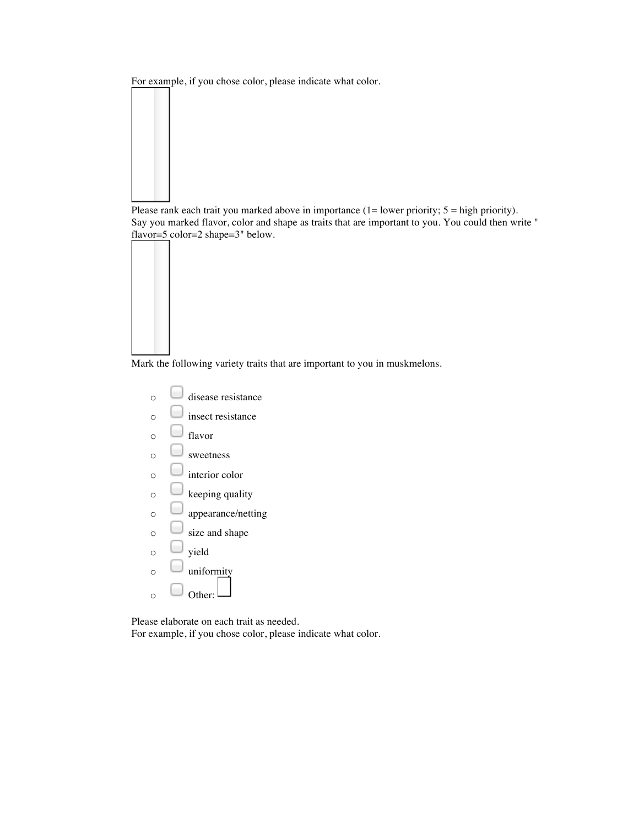For example, if you chose color, please indicate what color.



Please rank each trait you marked above in importance (1= lower priority; 5 = high priority). Say you marked flavor, color and shape as traits that are important to you. You could then write " flavor=5 color=2 shape=3" below.

Mark the following variety traits that are important to you in muskmelons.



Please elaborate on each trait as needed. For example, if you chose color, please indicate what color.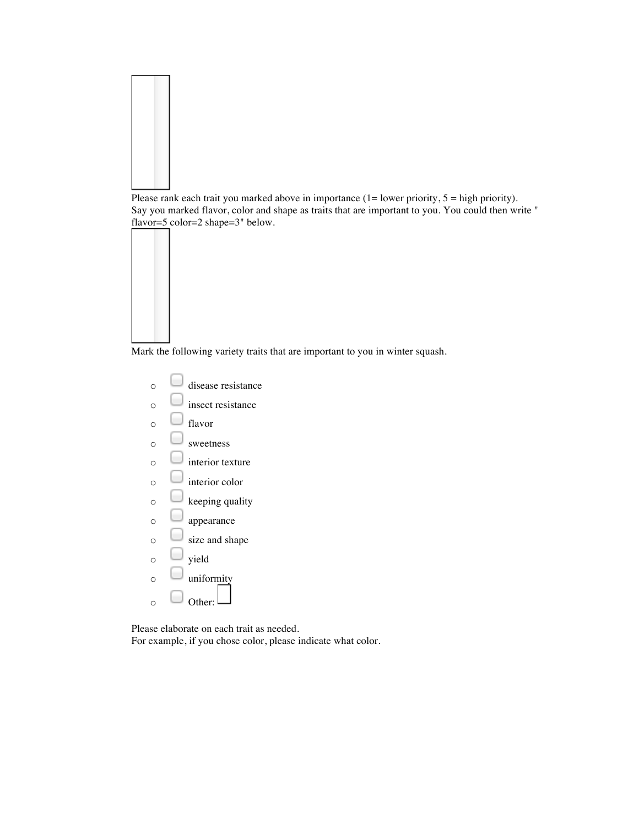

Please rank each trait you marked above in importance  $(1=$  lower priority,  $5 =$  high priority). Say you marked flavor, color and shape as traits that are important to you. You could then write " flavor=5 color=2 shape=3" below.

Mark the following variety traits that are important to you in winter squash.

 $\circ$  disease resistance  $\circ$   $\Box$  insect resistance  $\circ$   $\Box$  flavor  $\circ$  sweetness  $\circ$   $\Box$  interior texture  $\circ$   $\Box$  interior color  $\circ$   $\Box$  keeping quality  $\circ$   $\Box$  appearance  $\circ$   $\Box$  size and shape  $\circ$   $\Box$  yield  $\circ$  uniformity  $\circ$   $\Box$  Other:

Please elaborate on each trait as needed.

For example, if you chose color, please indicate what color.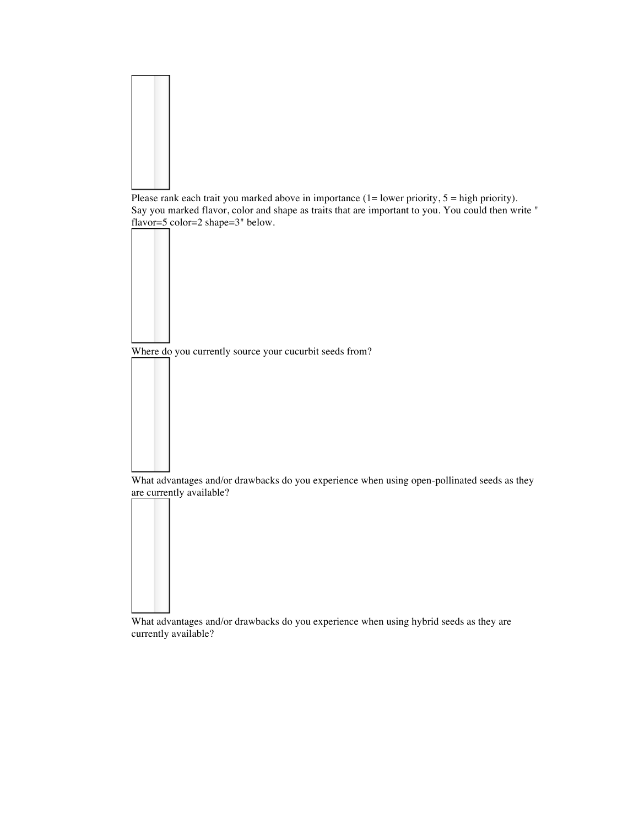

Please rank each trait you marked above in importance (1= lower priority, 5 = high priority). Say you marked flavor, color and shape as traits that are important to you. You could then write " flavor=5 color=2 shape=3" below.

Where do you currently source your cucurbit seeds from?



What advantages and/or drawbacks do you experience when using open-pollinated seeds as they are currently available?



What advantages and/or drawbacks do you experience when using hybrid seeds as they are currently available?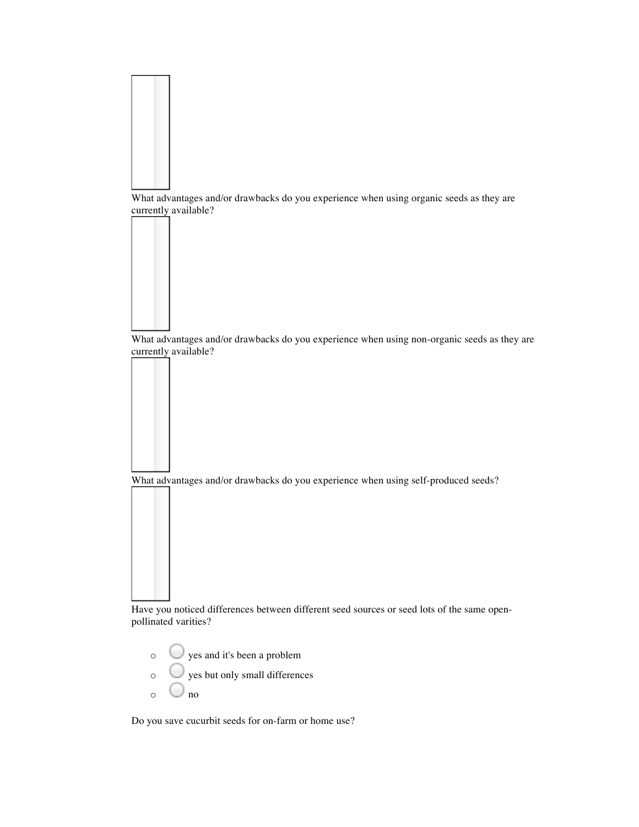

What advantages and/or drawbacks do you experience when using non-organic seeds as they are currently available?

What advantages and/or drawbacks do you experience when using self-produced seeds?

Have you noticed differences between different seed sources or seed lots of the same openpollinated varities?

- $\circ$  yes and it's been a problem
- $\circ$   $\bigcup$  yes but only small differences
- $\circ$   $\circ$  no

Do you save cucurbit seeds for on-farm or home use?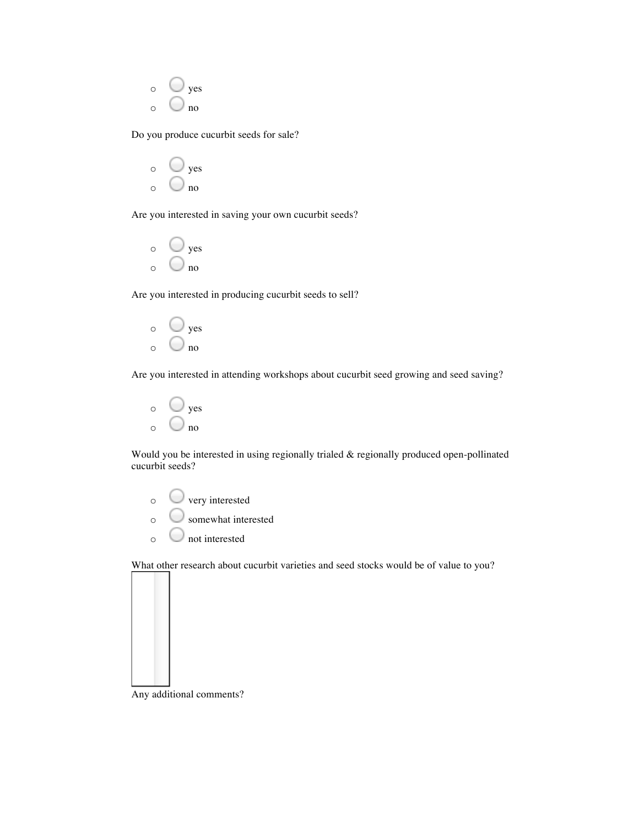| O | yes |
|---|-----|
| O | no  |

Do you produce cucurbit seeds for sale?



Are you interested in saving your own cucurbit seeds?



Are you interested in producing cucurbit seeds to sell?



Are you interested in attending workshops about cucurbit seed growing and seed saving?



Would you be interested in using regionally trialed & regionally produced open-pollinated cucurbit seeds?

- o very interested
- o somewhat interested
- $\circ$  not interested

What other research about cucurbit varieties and seed stocks would be of value to you?



Any additional comments?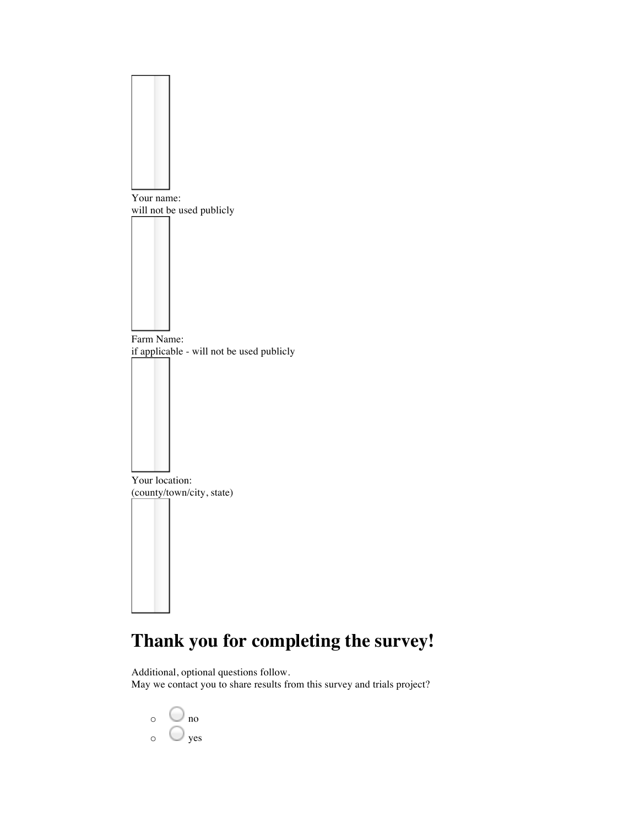

## **Thank you for completing the survey!**

Additional, optional questions follow. May we contact you to share results from this survey and trials project?